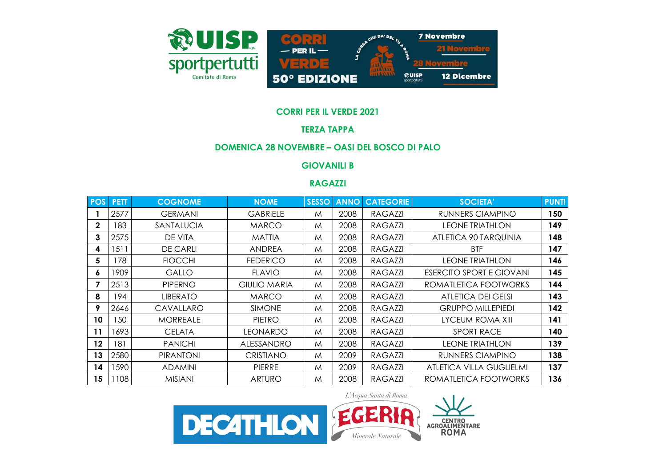

#### **CORRI PER IL VERDE 2021**

# **TERZA TAPPA**

# **DOMENICA 28 NOVEMBRE – OASI DEL BOSCO DI PALO**

# **GIOVANILI B**

#### **RAGAZZI**

| <b>POS</b>   | <b>PETT</b> | <b>COGNOME</b>   | <b>NOME</b>         | <b>SESSO</b> | <b>ANNO</b> | <b>CATEGORIE</b> | <b>SOCIETA'</b>                 | <b>PUNTI</b> |
|--------------|-------------|------------------|---------------------|--------------|-------------|------------------|---------------------------------|--------------|
|              | 2577        | <b>GERMANI</b>   | <b>GABRIELE</b>     | M            | 2008        | RAGAZZI          | RUNNERS CIAMPINO                | 150          |
| $\mathbf{2}$ | 183         | SANTALUCIA       | <b>MARCO</b>        | M            | 2008        | <b>RAGAZZI</b>   | <b>LEONE TRIATHLON</b>          | 149          |
| 3            | 2575        | DE VITA          | <b>MATTIA</b>       | M            | 2008        | <b>RAGAZZI</b>   | ATLETICA 90 TARQUINIA           | 148          |
| 4            | 1511        | <b>DE CARLI</b>  | <b>ANDREA</b>       | M            | 2008        | <b>RAGAZZI</b>   | <b>BTF</b>                      | 147          |
| 5            | 178         | <b>FIOCCHI</b>   | <b>FEDERICO</b>     | M            | 2008        | <b>RAGAZZI</b>   | <b>LEONE TRIATHLON</b>          | 146          |
| 6            | 1909        | <b>GALLO</b>     | <b>FLAVIO</b>       | M            | 2008        | RAGAZZI          | <b>ESERCITO SPORT E GIOVANI</b> | 145          |
|              | 2513        | <b>PIPERNO</b>   | <b>GIULIO MARIA</b> | M            | 2008        | <b>RAGAZZI</b>   | ROMATLETICA FOOTWORKS           | 144          |
| 8            | 194         | <b>LIBERATO</b>  | <b>MARCO</b>        | M            | 2008        | <b>RAGAZZI</b>   | ATLETICA DEI GELSI              | 143          |
| 9            | 2646        | CAVALLARO        | <b>SIMONE</b>       | M            | 2008        | <b>RAGAZZI</b>   | <b>GRUPPO MILLEPIEDI</b>        | 142          |
| 10           | 50          | <b>MORREALE</b>  | <b>PIETRO</b>       | M            | 2008        | <b>RAGAZZI</b>   | LYCEUM ROMA XIII                | 141          |
| 11           | 1693        | <b>CELATA</b>    | <b>LEONARDO</b>     | M            | 2008        | <b>RAGAZZI</b>   | <b>SPORT RACE</b>               | 140          |
| 12           | 181         | <b>PANICHI</b>   | ALESSANDRO          | M            | 2008        | RAGAZZI          | <b>LEONE TRIATHLON</b>          | 139          |
| 13           | 2580        | <b>PIRANTONI</b> | <b>CRISTIANO</b>    | M            | 2009        | <b>RAGAZZI</b>   | RUNNERS CIAMPINO                | 138          |
| 14           | 1590        | <b>ADAMINI</b>   | <b>PIERRE</b>       | M            | 2009        | <b>RAGAZZI</b>   | ATLETICA VILLA GUGLIELMI        | 137          |
| 15           | 108         | <b>MISIANI</b>   | <b>ARTURO</b>       | M            | 2008        | <b>RAGAZZI</b>   | ROMATLETICA FOOTWORKS           | 136          |

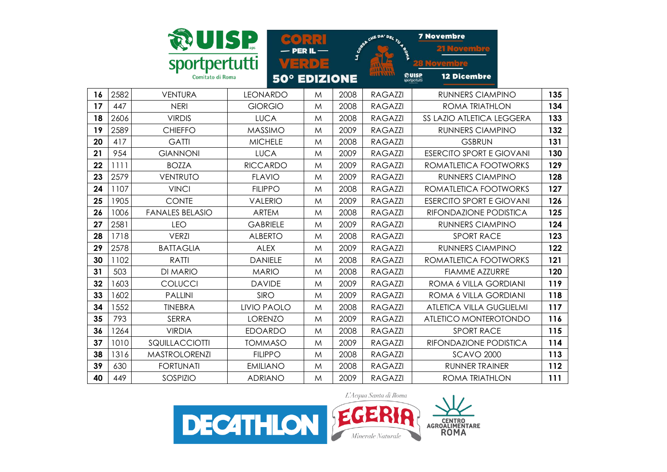|    |      |                        | <b>SP</b>          |                 | LA CORES | CHE DA' DEL TU 4 SON | <b>7 Novembre</b>                |     |
|----|------|------------------------|--------------------|-----------------|----------|----------------------|----------------------------------|-----|
|    |      | Comitato di Roma       | <b>50°</b>         | $\blacksquare$  |          |                      | 熱UISP<br><b>12 Dicembre</b>      |     |
|    |      |                        |                    | <b>EDIZIONE</b> |          |                      | sportpertutti                    |     |
| 16 | 2582 | <b>VENTURA</b>         | <b>LEONARDO</b>    | M               | 2008     | <b>RAGAZZI</b>       | <b>RUNNERS CIAMPINO</b>          | 135 |
| 17 | 447  | <b>NERI</b>            | <b>GIORGIO</b>     | M               | 2008     | <b>RAGAZZI</b>       | <b>ROMA TRIATHLON</b>            | 134 |
| 18 | 2606 | <b>VIRDIS</b>          | <b>LUCA</b>        | M               | 2008     | <b>RAGAZZI</b>       | <b>SS LAZIO ATLETICA LEGGERA</b> | 133 |
| 19 | 2589 | <b>CHIEFFO</b>         | <b>MASSIMO</b>     | M               | 2009     | <b>RAGAZZI</b>       | <b>RUNNERS CIAMPINO</b>          | 132 |
| 20 | 417  | <b>GATTI</b>           | <b>MICHELE</b>     | M               | 2008     | <b>RAGAZZI</b>       | <b>GSBRUN</b>                    | 131 |
| 21 | 954  | <b>GIANNONI</b>        | <b>LUCA</b>        | M               | 2009     | <b>RAGAZZI</b>       | <b>ESERCITO SPORT E GIOVANI</b>  | 130 |
| 22 | 1111 | <b>BOZZA</b>           | <b>RICCARDO</b>    | M               | 2009     | <b>RAGAZZI</b>       | ROMATLETICA FOOTWORKS            | 129 |
| 23 | 2579 | <b>VENTRUTO</b>        | <b>FLAVIO</b>      | M               | 2009     | <b>RAGAZZI</b>       | <b>RUNNERS CIAMPINO</b>          | 128 |
| 24 | 1107 | <b>VINCI</b>           | <b>FILIPPO</b>     | M               | 2008     | <b>RAGAZZI</b>       | ROMATLETICA FOOTWORKS            | 127 |
| 25 | 1905 | <b>CONTE</b>           | <b>VALERIO</b>     | M               | 2009     | <b>RAGAZZI</b>       | <b>ESERCITO SPORT E GIOVANI</b>  | 126 |
| 26 | 1006 | <b>FANALES BELASIO</b> | <b>ARTEM</b>       | M               | 2008     | <b>RAGAZZI</b>       | RIFONDAZIONE PODISTICA           | 125 |
| 27 | 2581 | <b>LEO</b>             | <b>GABRIELE</b>    | M               | 2009     | <b>RAGAZZI</b>       | <b>RUNNERS CIAMPINO</b>          | 124 |
| 28 | 1718 | <b>VERZI</b>           | <b>ALBERTO</b>     | M               | 2008     | <b>RAGAZZI</b>       | <b>SPORT RACE</b>                | 123 |
| 29 | 2578 | <b>BATTAGLIA</b>       | <b>ALEX</b>        | M               | 2009     | <b>RAGAZZI</b>       | <b>RUNNERS CIAMPINO</b>          | 122 |
| 30 | 1102 | <b>RATTI</b>           | <b>DANIELE</b>     | M               | 2008     | <b>RAGAZZI</b>       | ROMATLETICA FOOTWORKS            | 121 |
| 31 | 503  | <b>DI MARIO</b>        | <b>MARIO</b>       | M               | 2008     | <b>RAGAZZI</b>       | <b>FIAMME AZZURRE</b>            | 120 |
| 32 | 1603 | COLUCCI                | <b>DAVIDE</b>      | M               | 2009     | <b>RAGAZZI</b>       | ROMA 6 VILLA GORDIANI            | 119 |
| 33 | 1602 | <b>PALLINI</b>         | <b>SIRO</b>        | M               | 2009     | <b>RAGAZZI</b>       | ROMA 6 VILLA GORDIANI            | 118 |
| 34 | 1552 | <b>TINEBRA</b>         | <b>LIVIO PAOLO</b> | M               | 2008     | <b>RAGAZZI</b>       | <b>ATLETICA VILLA GUGLIELMI</b>  | 117 |
| 35 | 793  | <b>SERRA</b>           | <b>LORENZO</b>     | M               | 2009     | <b>RAGAZZI</b>       | ATLETICO MONTEROTONDO            | 116 |
| 36 | 1264 | <b>VIRDIA</b>          | <b>EDOARDO</b>     | M               | 2008     | <b>RAGAZZI</b>       | <b>SPORT RACE</b>                | 115 |
| 37 | 1010 | SQUILLACCIOTTI         | <b>TOMMASO</b>     | M               | 2009     | <b>RAGAZZI</b>       | RIFONDAZIONE PODISTICA           | 114 |
| 38 | 1316 | <b>MASTROLORENZI</b>   | <b>FILIPPO</b>     | M               | 2008     | <b>RAGAZZI</b>       | <b>SCAVO 2000</b>                | 113 |
| 39 | 630  | <b>FORTUNATI</b>       | <b>EMILIANO</b>    | M               | 2008     | <b>RAGAZZI</b>       | <b>RUNNER TRAINER</b>            | 112 |
| 40 | 449  | SOSPIZIO               | <b>ADRIANO</b>     | M               | 2009     | <b>RAGAZZI</b>       | <b>ROMA TRIATHLON</b>            | 111 |

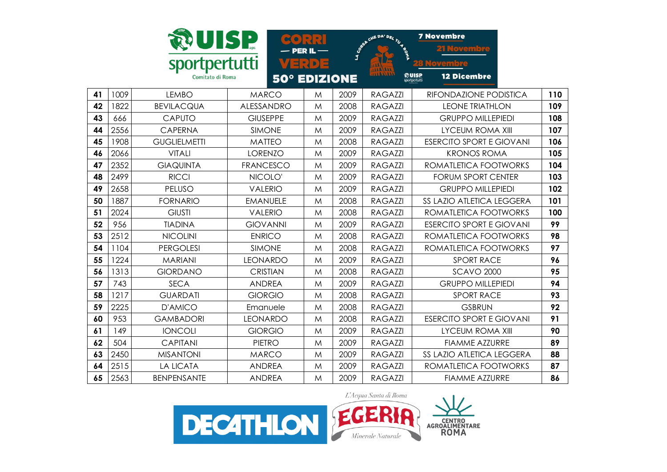|    |      |                                   | UISP             |                         | LA COMPT | CHE DA' DEL TU 4 | <b>7 Novembre</b>                            |     |
|----|------|-----------------------------------|------------------|-------------------------|----------|------------------|----------------------------------------------|-----|
|    |      | sportpertutti<br>Comitato di Roma | $50^\circ$       | 다리이다<br><b>EDIZIONE</b> |          |                  | ඹUISP<br><b>12 Dicembre</b><br>sportpertutti |     |
| 41 | 1009 | <b>LEMBO</b>                      | <b>MARCO</b>     | M                       | 2009     | <b>RAGAZZI</b>   | RIFONDAZIONE PODISTICA                       | 110 |
| 42 | 1822 | <b>BEVILACQUA</b>                 | ALESSANDRO       | M                       | 2008     | <b>RAGAZZI</b>   | <b>LEONE TRIATHLON</b>                       | 109 |
| 43 | 666  | <b>CAPUTO</b>                     | <b>GIUSEPPE</b>  | M                       | 2009     | <b>RAGAZZI</b>   | <b>GRUPPO MILLEPIEDI</b>                     | 108 |
| 44 | 2556 | <b>CAPERNA</b>                    | <b>SIMONE</b>    | M                       | 2009     | <b>RAGAZZI</b>   | <b>LYCEUM ROMA XIII</b>                      | 107 |
| 45 | 1908 | <b>GUGLIELMETTI</b>               | <b>MATTEO</b>    | M                       | 2008     | <b>RAGAZZI</b>   | <b>ESERCITO SPORT E GIOVANI</b>              | 106 |
| 46 | 2066 | <b>VITALI</b>                     | <b>LORENZO</b>   | M                       | 2009     | <b>RAGAZZI</b>   | <b>KRONOS ROMA</b>                           | 105 |
| 47 | 2352 | <b>GIAQUINTA</b>                  | <b>FRANCESCO</b> | M                       | 2009     | <b>RAGAZZI</b>   | ROMATLETICA FOOTWORKS                        | 104 |
| 48 | 2499 | <b>RICCI</b>                      | NICOLO'          | M                       | 2009     | <b>RAGAZZI</b>   | <b>FORUM SPORT CENTER</b>                    | 103 |
| 49 | 2658 | PELUSO                            | <b>VALERIO</b>   | M                       | 2009     | <b>RAGAZZI</b>   | <b>GRUPPO MILLEPIEDI</b>                     | 102 |
| 50 | 1887 | <b>FORNARIO</b>                   | <b>EMANUELE</b>  | M                       | 2008     | <b>RAGAZZI</b>   | <b>SS LAZIO ATLETICA LEGGERA</b>             | 101 |
| 51 | 2024 | <b>GIUSTI</b>                     | <b>VALERIO</b>   | M                       | 2008     | <b>RAGAZZI</b>   | ROMATLETICA FOOTWORKS                        | 100 |
| 52 | 956  | <b>TIADINA</b>                    | <b>GIOVANNI</b>  | M                       | 2009     | <b>RAGAZZI</b>   | <b>ESERCITO SPORT E GIOVANI</b>              | 99  |
| 53 | 2512 | <b>NICOLINI</b>                   | <b>ENRICO</b>    | M                       | 2008     | <b>RAGAZZI</b>   | ROMATLETICA FOOTWORKS                        | 98  |
| 54 | 1104 | <b>PERGOLESI</b>                  | <b>SIMONE</b>    | M                       | 2008     | <b>RAGAZZI</b>   | ROMATLETICA FOOTWORKS                        | 97  |
| 55 | 1224 | <b>MARIANI</b>                    | <b>LEONARDO</b>  | M                       | 2009     | <b>RAGAZZI</b>   | <b>SPORT RACE</b>                            | 96  |
| 56 | 1313 | <b>GIORDANO</b>                   | <b>CRISTIAN</b>  | M                       | 2008     | <b>RAGAZZI</b>   | <b>SCAVO 2000</b>                            | 95  |
| 57 | 743  | <b>SECA</b>                       | <b>ANDREA</b>    | M                       | 2009     | <b>RAGAZZI</b>   | <b>GRUPPO MILLEPIEDI</b>                     | 94  |
| 58 | 1217 | <b>GUARDATI</b>                   | <b>GIORGIO</b>   | M                       | 2008     | <b>RAGAZZI</b>   | <b>SPORT RACE</b>                            | 93  |
| 59 | 2225 | D'AMICO                           | Emanuele         | M                       | 2008     | <b>RAGAZZI</b>   | <b>GSBRUN</b>                                | 92  |
| 60 | 953  | <b>GAMBADORI</b>                  | <b>LEONARDO</b>  | M                       | 2008     | <b>RAGAZZI</b>   | <b>ESERCITO SPORT E GIOVANI</b>              | 91  |
| 61 | 149  | <b>IONCOLI</b>                    | <b>GIORGIO</b>   | M                       | 2009     | <b>RAGAZZI</b>   | <b>LYCEUM ROMA XIII</b>                      | 90  |
| 62 | 504  | <b>CAPITANI</b>                   | <b>PIETRO</b>    | M                       | 2009     | <b>RAGAZZI</b>   | <b>FIAMME AZZURRE</b>                        | 89  |
| 63 | 2450 | <b>MISANTONI</b>                  | <b>MARCO</b>     | M                       | 2009     | <b>RAGAZZI</b>   | <b>SS LAZIO ATLETICA LEGGERA</b>             | 88  |
| 64 | 2515 | <b>LA LICATA</b>                  | <b>ANDREA</b>    | M                       | 2009     | <b>RAGAZZI</b>   | ROMATLETICA FOOTWORKS                        | 87  |
| 65 | 2563 | <b>BENPENSANTE</b>                | <b>ANDREA</b>    | M                       | 2009     | <b>RAGAZZI</b>   | <b>FIAMME AZZURRE</b>                        | 86  |

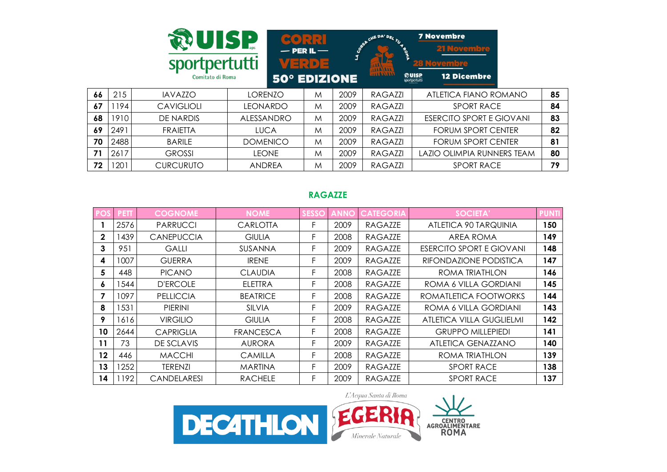|    |      | <b>RUISP</b><br>sportpertutti<br>Comitato di Roma |                 | $\left[ \begin{array}{c} \epsilon \end{array} \right]$<br>$-$ PER IL $-$<br>VERDE<br><b>50° EDIZIONE</b> | LA COAST | CHE DA' DEL TU<br><b>ALLALIA</b> | <b>7 Novembre</b><br><b>21 Novembre</b><br><b>28 Novembre</b><br><b>ROUISP</b><br>sportpertutti<br><b>12 Dicembre</b> |    |
|----|------|---------------------------------------------------|-----------------|----------------------------------------------------------------------------------------------------------|----------|----------------------------------|-----------------------------------------------------------------------------------------------------------------------|----|
| 66 | 215  | <b>IAVAZZO</b>                                    | <b>LORENZO</b>  | M                                                                                                        | 2009     | <b>RAGAZZI</b>                   | ATLETICA FIANO ROMANO                                                                                                 | 85 |
| 67 | 1194 | <b>CAVIGLIOLI</b>                                 | <b>LEONARDO</b> | M                                                                                                        | 2009     | <b>RAGAZZI</b>                   | <b>SPORT RACE</b>                                                                                                     | 84 |
| 68 | 1910 | DE NARDIS                                         | ALESSANDRO      | M                                                                                                        | 2009     | <b>RAGAZZI</b>                   | <b>ESERCITO SPORT E GIOVANI</b>                                                                                       | 83 |
| 69 | 2491 | <b>FRAIETTA</b>                                   | <b>LUCA</b>     | M                                                                                                        | 2009     | <b>RAGAZZI</b>                   | FORUM SPORT CENTER                                                                                                    | 82 |
| 70 | 2488 | <b>BARILE</b>                                     | <b>DOMENICO</b> | M                                                                                                        | 2009     | <b>RAGAZZI</b>                   | FORUM SPORT CENTER                                                                                                    | 81 |
| 71 | 2617 | <b>GROSSI</b>                                     | <b>LEONE</b>    | M                                                                                                        | 2009     | RAGAZZI                          | <b>LAZIO OLIMPIA RUNNERS TEAM</b>                                                                                     | 80 |
| 72 | 1201 | <b>CURCURUTO</b>                                  | <b>ANDREA</b>   | M                                                                                                        | 2009     | <b>RAGAZZI</b>                   | <b>SPORT RACE</b>                                                                                                     | 79 |

# **RAGAZZE**

|              | <b>PETT</b> | <b>COGNOME</b>     | <b>NOME</b>     | <b>SESSO</b> |      | <b>CATEGORIA</b> | <b>SOCIETA'</b>                 | <b>PUNTI</b> |
|--------------|-------------|--------------------|-----------------|--------------|------|------------------|---------------------------------|--------------|
|              | 2576        | <b>PARRUCCI</b>    | <b>CARLOTTA</b> | F.           | 2009 | RAGAZZE          | ATLETICA 90 TARQUINIA           | 150          |
| $\mathbf{2}$ | 1439        | <b>CANEPUCCIA</b>  | <b>GIULIA</b>   | F            | 2008 | RAGAZZE          | AREA ROMA                       | 149          |
| 3            | 951         | <b>GALLI</b>       | SUSANNA         | F            | 2009 | RAGAZZE          | <b>ESERCITO SPORT E GIOVANI</b> | 148          |
| 4            | 1007        | <b>GUERRA</b>      | <b>IRENE</b>    | F            | 2009 | <b>RAGAZZE</b>   | RIFONDAZIONE PODISTICA          | 147          |
| 5            | 448         | <b>PICANO</b>      | <b>CLAUDIA</b>  | F            | 2008 | RAGAZZE          | ROMA TRIATHLON                  | 146          |
| 6            | 544         | <b>D'ERCOLE</b>    | <b>ELETTRA</b>  | F.           | 2008 | <b>RAGAZZE</b>   | ROMA 6 VILLA GORDIANI           | 145          |
| 7            | 1097        | <b>PELLICCIA</b>   | <b>BEATRICE</b> | F.           | 2008 | RAGAZZE          | ROMATLETICA FOOTWORKS           | 144          |
| 8            | 1531        | <b>PIERINI</b>     | <b>SILVIA</b>   | F            | 2009 | <b>RAGAZZE</b>   | ROMA 6 VILLA GORDIANI           | 143          |
| 9            | 1616        | <b>VIRGILIO</b>    | <b>GIULIA</b>   | F            | 2008 | <b>RAGAZZE</b>   | ATLETICA VILLA GUGLIELMI        | 142          |
| 10           | 2644        | <b>CAPRIGLIA</b>   | FRANCESCA       | F            | 2008 | RAGAZZE          | <b>GRUPPO MILLEPIEDI</b>        | 141          |
| 11           | 73          | DE SCLAVIS         | <b>AURORA</b>   | F.           | 2009 | RAGAZZE          | ATLETICA GENAZZANO              | 140          |
| 12           | 446         | <b>MACCHI</b>      | <b>CAMILLA</b>  | F.           | 2008 | RAGAZZE          | ROMA TRIATHLON                  | 139          |
| 13           | 1252        | <b>TERENZI</b>     | <b>MARTINA</b>  | F.           | 2009 | <b>RAGAZZE</b>   | <b>SPORT RACE</b>               | 138          |
| 14           | 192         | <b>CANDELARESI</b> | <b>RACHELE</b>  |              | 2009 | <b>RAGAZZE</b>   | <b>SPORT RACE</b>               | 137          |

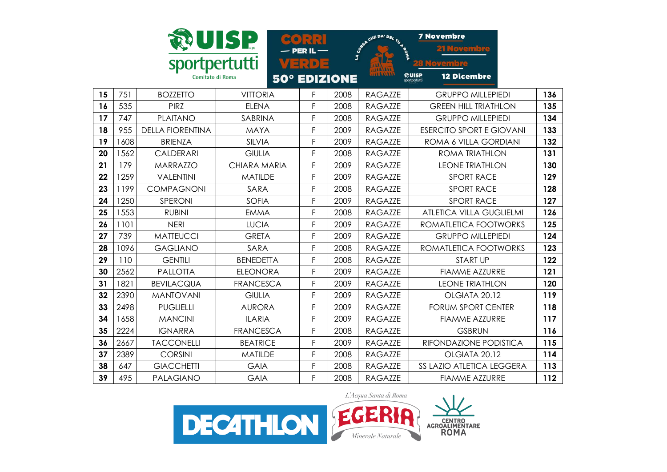|    |      | sportpertutti           | UISP.               | 다리 D            |      | S CREATIVE DAY DEL TUYS | <b>7 Novembre</b>                            |     |
|----|------|-------------------------|---------------------|-----------------|------|-------------------------|----------------------------------------------|-----|
|    |      | Comitato di Roma        | <b>50°</b>          | <b>EDIZIONE</b> |      |                         | ඹUISP<br><b>12 Dicembre</b><br>sportpertutti |     |
| 15 | 751  | <b>BOZZETTO</b>         | <b>VITTORIA</b>     | F               | 2008 | <b>RAGAZZE</b>          | <b>GRUPPO MILLEPIEDI</b>                     | 136 |
| 16 | 535  | <b>PIRZ</b>             | <b>ELENA</b>        | F               | 2008 | <b>RAGAZZE</b>          | <b>GREEN HILL TRIATHLON</b>                  | 135 |
| 17 | 747  | <b>PLAITANO</b>         | SABRINA             | F               | 2008 | <b>RAGAZZE</b>          | <b>GRUPPO MILLEPIEDI</b>                     | 134 |
| 18 | 955  | <b>DELLA FIORENTINA</b> | <b>MAYA</b>         | F               | 2009 | <b>RAGAZZE</b>          | <b>ESERCITO SPORT E GIOVANI</b>              | 133 |
| 19 | 1608 | <b>BRIENZA</b>          | SILVIA              | F               | 2009 | <b>RAGAZZE</b>          | ROMA 6 VILLA GORDIANI                        | 132 |
| 20 | 1562 | <b>CALDERARI</b>        | <b>GIULIA</b>       | F               | 2008 | <b>RAGAZZE</b>          | <b>ROMA TRIATHLON</b>                        | 131 |
| 21 | 179  | <b>MARRAZZO</b>         | <b>CHIARA MARIA</b> | F               | 2009 | <b>RAGAZZE</b>          | <b>LEONE TRIATHLON</b>                       | 130 |
| 22 | 1259 | <b>VALENTINI</b>        | <b>MATILDE</b>      | F               | 2009 | <b>RAGAZZE</b>          | <b>SPORT RACE</b>                            | 129 |
| 23 | 1199 | <b>COMPAGNONI</b>       | SARA                | F               | 2008 | <b>RAGAZZE</b>          | <b>SPORT RACE</b>                            | 128 |
| 24 | 1250 | SPERONI                 | <b>SOFIA</b>        | F               | 2009 | <b>RAGAZZE</b>          | <b>SPORT RACE</b>                            | 127 |
| 25 | 1553 | <b>RUBINI</b>           | <b>EMMA</b>         | F               | 2008 | <b>RAGAZZE</b>          | <b>ATLETICA VILLA GUGLIELMI</b>              | 126 |
| 26 | 1101 | <b>NERI</b>             | <b>LUCIA</b>        | F               | 2009 | <b>RAGAZZE</b>          | ROMATLETICA FOOTWORKS                        | 125 |
| 27 | 739  | <b>MATTEUCCI</b>        | <b>GRETA</b>        | F               | 2009 | <b>RAGAZZE</b>          | <b>GRUPPO MILLEPIEDI</b>                     | 124 |
| 28 | 1096 | <b>GAGLIANO</b>         | SARA                | F               | 2008 | <b>RAGAZZE</b>          | ROMATLETICA FOOTWORKS                        | 123 |
| 29 | 110  | <b>GENTILI</b>          | <b>BENEDETTA</b>    | F               | 2008 | <b>RAGAZZE</b>          | <b>START UP</b>                              | 122 |
| 30 | 2562 | <b>PALLOTTA</b>         | <b>ELEONORA</b>     | F               | 2009 | <b>RAGAZZE</b>          | <b>FIAMME AZZURRE</b>                        | 121 |
| 31 | 1821 | <b>BEVILACQUA</b>       | <b>FRANCESCA</b>    | F               | 2009 | <b>RAGAZZE</b>          | <b>LEONE TRIATHLON</b>                       | 120 |
| 32 | 2390 | <b>MANTOVANI</b>        | <b>GIULIA</b>       | F               | 2009 | <b>RAGAZZE</b>          | OLGIATA 20.12                                | 119 |
| 33 | 2498 | <b>PUGLIELLI</b>        | <b>AURORA</b>       | F               | 2009 | <b>RAGAZZE</b>          | <b>FORUM SPORT CENTER</b>                    | 118 |
| 34 | 1658 | <b>MANCINI</b>          | <b>ILARIA</b>       | F               | 2009 | <b>RAGAZZE</b>          | <b>FIAMME AZZURRE</b>                        | 117 |
| 35 | 2224 | <b>IGNARRA</b>          | <b>FRANCESCA</b>    | F               | 2008 | <b>RAGAZZE</b>          | <b>GSBRUN</b>                                | 116 |
| 36 | 2667 | <b>TACCONELLI</b>       | <b>BEATRICE</b>     | F               | 2009 | <b>RAGAZZE</b>          | RIFONDAZIONE PODISTICA                       | 115 |
| 37 | 2389 | <b>CORSINI</b>          | <b>MATILDE</b>      | F               | 2008 | <b>RAGAZZE</b>          | OLGIATA 20.12                                | 114 |
| 38 | 647  | <b>GIACCHETTI</b>       | <b>GAIA</b>         | F               | 2008 | <b>RAGAZZE</b>          | SS LAZIO ATLETICA LEGGERA                    | 113 |
| 39 | 495  | <b>PALAGIANO</b>        | <b>GAIA</b>         | F               | 2008 | <b>RAGAZZE</b>          | <b>FIAMME AZZURRE</b>                        | 112 |

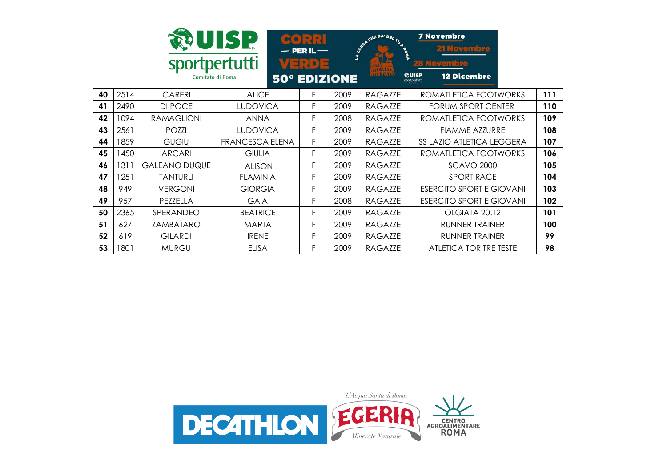|    |      | sportpertutti<br>Comitato di Roma | UISP                   | $\bullet$ $\cdot$ $\cdot$ $\cdot$<br>$-$ PER IL $-$<br>Verle | <b>50° EDIZIONE</b> | CHE DA' DEL TU 4 P<br><b>LA CORE</b><br><b>JAR/ALL</b><br>1182132 | <b>7 Novembre</b><br><b>21 Novembre</b><br>Novembre<br><b>QUISP</b><br><b>12 Dicembre</b><br>sportpertutti |     |
|----|------|-----------------------------------|------------------------|--------------------------------------------------------------|---------------------|-------------------------------------------------------------------|------------------------------------------------------------------------------------------------------------|-----|
| 40 | 2514 | CARERI                            | <b>ALICE</b>           | F.                                                           | 2009                | <b>RAGAZZE</b>                                                    | ROMATLETICA FOOTWORKS                                                                                      | 111 |
| 41 | 2490 | DI POCE                           | <b>LUDOVICA</b>        | F                                                            | 2009                | <b>RAGAZZE</b>                                                    | <b>FORUM SPORT CENTER</b>                                                                                  | 110 |
| 42 | 1094 | <b>RAMAGLIONI</b>                 | <b>ANNA</b>            | F                                                            | 2008                | RAGAZZE                                                           | ROMATLETICA FOOTWORKS                                                                                      | 109 |
| 43 | 2561 | POZZI                             | <b>LUDOVICA</b>        | F                                                            | 2009                | <b>RAGAZZE</b>                                                    | <b>FIAMME AZZURRE</b>                                                                                      | 108 |
| 44 | 1859 | <b>GUGIU</b>                      | <b>FRANCESCA ELENA</b> | F                                                            | 2009                | <b>RAGAZZE</b>                                                    | SS LAZIO ATLETICA LEGGERA                                                                                  | 107 |
| 45 | 1450 | <b>ARCARI</b>                     | <b>GIULIA</b>          | F                                                            | 2009                | RAGAZZE                                                           | ROMATLETICA FOOTWORKS                                                                                      | 106 |
| 46 | 1311 | <b>GALEANO DUQUE</b>              | <b>ALISON</b>          | F                                                            | 2009                | <b>RAGAZZE</b>                                                    | <b>SCAVO 2000</b>                                                                                          | 105 |
| 47 | 1251 | <b>TANTURLI</b>                   | <b>FLAMINIA</b>        | F.                                                           | 2009                | RAGAZZE                                                           | <b>SPORT RACE</b>                                                                                          | 104 |
| 48 | 949  | <b>VERGONI</b>                    | <b>GIORGIA</b>         | F                                                            | 2009                | <b>RAGAZZE</b>                                                    | <b>ESERCITO SPORT E GIOVANI</b>                                                                            | 103 |
| 49 | 957  | PEZZELLA                          | <b>GAIA</b>            | F                                                            | 2008                | <b>RAGAZZE</b>                                                    | <b>ESERCITO SPORT E GIOVANI</b>                                                                            | 102 |
| 50 | 2365 | SPERANDEO                         | <b>BEATRICE</b>        | F                                                            | 2009                | RAGAZZE                                                           | OLGIATA 20.12                                                                                              | 101 |
| 51 | 627  | ZAMBATARO                         | <b>MARTA</b>           | F                                                            | 2009                | RAGAZZE                                                           | RUNNER TRAINER                                                                                             | 100 |
| 52 | 619  | <b>GILARDI</b>                    | <b>IRENE</b>           | F                                                            | 2009                | <b>RAGAZZE</b>                                                    | RUNNER TRAINER                                                                                             | 99  |
| 53 | 1801 | <b>MURGU</b>                      | <b>ELISA</b>           | F                                                            | 2009                | <b>RAGAZZE</b>                                                    | ATLETICA TOR TRE TESTE                                                                                     | 98  |

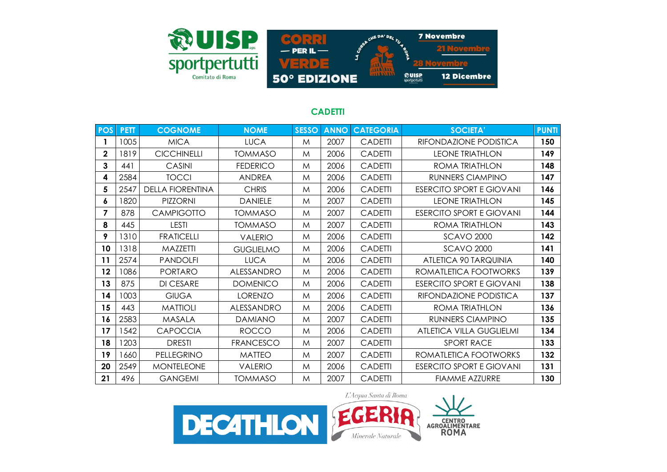

# **CADETTI**

| <b>POS</b>   | <b>PETT</b> | <b>COGNOME</b>          | <b>NOME</b>       | <b>SESSO</b> | <b>ANNO</b> | <b>CATEGORIA</b> | <b>SOCIETA'</b>                 | <b>PUNTI</b> |
|--------------|-------------|-------------------------|-------------------|--------------|-------------|------------------|---------------------------------|--------------|
|              | 1005        | <b>MICA</b>             | <b>LUCA</b>       | M            | 2007        | <b>CADETTI</b>   | RIFONDAZIONE PODISTICA          | 150          |
| $\mathbf 2$  | 1819        | <b>CICCHINELLI</b>      | <b>TOMMASO</b>    | M            | 2006        | <b>CADETTI</b>   | <b>LEONE TRIATHLON</b>          | 149          |
| $\mathbf{3}$ | 441         | CASINI                  | <b>FEDERICO</b>   | M            | 2006        | <b>CADETTI</b>   | ROMA TRIATHLON                  | 148          |
| 4            | 2584        | <b>TOCCI</b>            | <b>ANDREA</b>     | M            | 2006        | <b>CADETTI</b>   | <b>RUNNERS CIAMPINO</b>         | 147          |
| 5            | 2547        | <b>DELLA FIORENTINA</b> | <b>CHRIS</b>      | M            | 2006        | <b>CADETTI</b>   | <b>ESERCITO SPORT E GIOVANI</b> | 146          |
| 6            | 1820        | <b>PIZZORNI</b>         | <b>DANIELE</b>    | M            | 2007        | <b>CADETTI</b>   | <b>LEONE TRIATHLON</b>          | 145          |
| 7            | 878         | <b>CAMPIGOTTO</b>       | <b>TOMMASO</b>    | M            | 2007        | <b>CADETTI</b>   | <b>ESERCITO SPORT E GIOVANI</b> | 144          |
| 8            | 445         | <b>LESTI</b>            | <b>TOMMASO</b>    | M            | 2007        | <b>CADETTI</b>   | ROMA TRIATHLON                  | 143          |
| 9            | 1310        | <b>FRATICELLI</b>       | <b>VALERIO</b>    | M            | 2006        | <b>CADETTI</b>   | <b>SCAVO 2000</b>               | 142          |
| 10           | 1318        | MAZZETTI                | <b>GUGLIELMO</b>  | M            | 2006        | <b>CADETTI</b>   | <b>SCAVO 2000</b>               | 141          |
| 11           | 2574        | <b>PANDOLFI</b>         | <b>LUCA</b>       | M            | 2006        | <b>CADETTI</b>   | ATLETICA 90 TARQUINIA           | 140          |
| 12           | 1086        | <b>PORTARO</b>          | ALESSANDRO        | M            | 2006        | <b>CADETTI</b>   | ROMATLETICA FOOTWORKS           | 139          |
| 13           | 875         | <b>DI CESARE</b>        | <b>DOMENICO</b>   | M            | 2006        | <b>CADETTI</b>   | <b>ESERCITO SPORT E GIOVANI</b> | 138          |
| 14           | 1003        | <b>GIUGA</b>            | <b>LORENZO</b>    | M            | 2006        | <b>CADETTI</b>   | RIFONDAZIONE PODISTICA          | 137          |
| 15           | 443         | <b>MATTIOLI</b>         | <b>ALESSANDRO</b> | M            | 2006        | <b>CADETTI</b>   | ROMA TRIATHLON                  | 136          |
| 16           | 2583        | MASALA                  | <b>DAMIANO</b>    | M            | 2007        | <b>CADETTI</b>   | <b>RUNNERS CIAMPINO</b>         | 135          |
| 17           | 1542        | <b>CAPOCCIA</b>         | <b>ROCCO</b>      | M            | 2006        | <b>CADETTI</b>   | ATLETICA VILLA GUGLIELMI        | 134          |
| 18           | 1203        | <b>DRESTI</b>           | <b>FRANCESCO</b>  | M            | 2007        | <b>CADETTI</b>   | <b>SPORT RACE</b>               | 133          |
| 19           | 1660        | PELLEGRINO              | <b>MATTEO</b>     | M            | 2007        | <b>CADETTI</b>   | ROMATLETICA FOOTWORKS           | 132          |
| 20           | 2549        | <b>MONTELEONE</b>       | <b>VALERIO</b>    | M            | 2006        | <b>CADETTI</b>   | <b>ESERCITO SPORT E GIOVANI</b> | 131          |
| 21           | 496         | <b>GANGEMI</b>          | <b>TOMMASO</b>    | M            | 2007        | <b>CADETTI</b>   | <b>FIAMME AZZURRE</b>           | 130          |

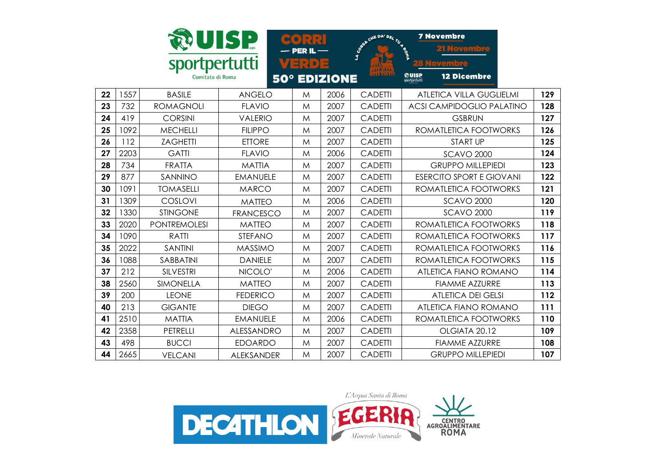|    |      |                     | <b>DUISP</b>      | $\mathbf{E}$<br><b>PER IL</b> |      | <b>SORA CHE DAY DEL TU ROAD</b> | <b>7 Novembre</b>                                                  |     |
|----|------|---------------------|-------------------|-------------------------------|------|---------------------------------|--------------------------------------------------------------------|-----|
|    |      | sportpertutti       |                   | 비리<br>$\mathbf{D}$            | E    |                                 |                                                                    |     |
|    |      | Comitato di Roma    |                   | <b>50° EDIZIONE</b>           |      | 144.444                         | <b><i><u>Roulse</u></i></b><br>sportpertutti<br><b>12 Dicembre</b> |     |
| 22 | 1557 | <b>BASILE</b>       | <b>ANGELO</b>     | M                             | 2006 | <b>CADETTI</b>                  | <b>ATLETICA VILLA GUGLIELMI</b>                                    | 129 |
| 23 | 732  | <b>ROMAGNOLI</b>    | <b>FLAVIO</b>     | M                             | 2007 | <b>CADETTI</b>                  | <b>ACSI CAMPIDOGLIO PALATINO</b>                                   | 128 |
| 24 | 419  | <b>CORSINI</b>      | <b>VALERIO</b>    | M                             | 2007 | <b>CADETTI</b>                  | <b>GSBRUN</b>                                                      | 127 |
| 25 | 1092 | <b>MECHELLI</b>     | <b>FILIPPO</b>    | M                             | 2007 | <b>CADETTI</b>                  | ROMATLETICA FOOTWORKS                                              | 126 |
| 26 | 112  | <b>ZAGHETTI</b>     | <b>ETTORE</b>     | M                             | 2007 | <b>CADETTI</b>                  | <b>START UP</b>                                                    | 125 |
| 27 | 2203 | <b>GATTI</b>        | <b>FLAVIO</b>     | M                             | 2006 | <b>CADETTI</b>                  | <b>SCAVO 2000</b>                                                  | 124 |
| 28 | 734  | <b>FRATTA</b>       | <b>MATTIA</b>     | M                             | 2007 | <b>CADETTI</b>                  | <b>GRUPPO MILLEPIEDI</b>                                           | 123 |
| 29 | 877  | SANNINO             | <b>EMANUELE</b>   | M                             | 2007 | <b>CADETTI</b>                  | <b>ESERCITO SPORT E GIOVANI</b>                                    | 122 |
| 30 | 1091 | <b>TOMASELLI</b>    | <b>MARCO</b>      | M                             | 2007 | <b>CADETTI</b>                  | ROMATLETICA FOOTWORKS                                              | 121 |
| 31 | 1309 | COSLOVI             | <b>MATTEO</b>     | M                             | 2006 | <b>CADETTI</b>                  | <b>SCAVO 2000</b>                                                  | 120 |
| 32 | 1330 | <b>STINGONE</b>     | <b>FRANCESCO</b>  | M                             | 2007 | <b>CADETTI</b>                  | <b>SCAVO 2000</b>                                                  | 119 |
| 33 | 2020 | <b>PONTREMOLESI</b> | <b>MATTEO</b>     | M                             | 2007 | <b>CADETTI</b>                  | ROMATLETICA FOOTWORKS                                              | 118 |
| 34 | 1090 | <b>RATTI</b>        | <b>STEFANO</b>    | M                             | 2007 | <b>CADETTI</b>                  | ROMATLETICA FOOTWORKS                                              | 117 |
| 35 | 2022 | <b>SANTINI</b>      | <b>MASSIMO</b>    | M                             | 2007 | <b>CADETTI</b>                  | ROMATLETICA FOOTWORKS                                              | 116 |
| 36 | 1088 | SABBATINI           | <b>DANIELE</b>    | M                             | 2007 | <b>CADETTI</b>                  | ROMATLETICA FOOTWORKS                                              | 115 |
| 37 | 212  | <b>SILVESTRI</b>    | NICOLO'           | M                             | 2006 | <b>CADETTI</b>                  | ATLETICA FIANO ROMANO                                              | 114 |
| 38 | 2560 | SIMONELLA           | <b>MATTEO</b>     | M                             | 2007 | <b>CADETTI</b>                  | <b>FIAMME AZZURRE</b>                                              | 113 |
| 39 | 200  | <b>LEONE</b>        | <b>FEDERICO</b>   | M                             | 2007 | <b>CADETTI</b>                  | <b>ATLETICA DEI GELSI</b>                                          | 112 |
| 40 | 213  | <b>GIGANTE</b>      | <b>DIEGO</b>      | M                             | 2007 | <b>CADETTI</b>                  | ATLETICA FIANO ROMANO                                              | 111 |
| 41 | 2510 | <b>MATTIA</b>       | <b>EMANUELE</b>   | M                             | 2006 | <b>CADETTI</b>                  | ROMATLETICA FOOTWORKS                                              | 110 |
| 42 | 2358 | PETRELLI            | ALESSANDRO        | M                             | 2007 | <b>CADETTI</b>                  | OLGIATA 20.12                                                      | 109 |
| 43 | 498  | <b>BUCCI</b>        | <b>EDOARDO</b>    | M                             | 2007 | <b>CADETTI</b>                  | <b>FIAMME AZZURRE</b>                                              | 108 |
| 44 | 2665 | <b>VELCANI</b>      | <b>ALEKSANDER</b> | M                             | 2007 | <b>CADETTI</b>                  | <b>GRUPPO MILLEPIEDI</b>                                           | 107 |

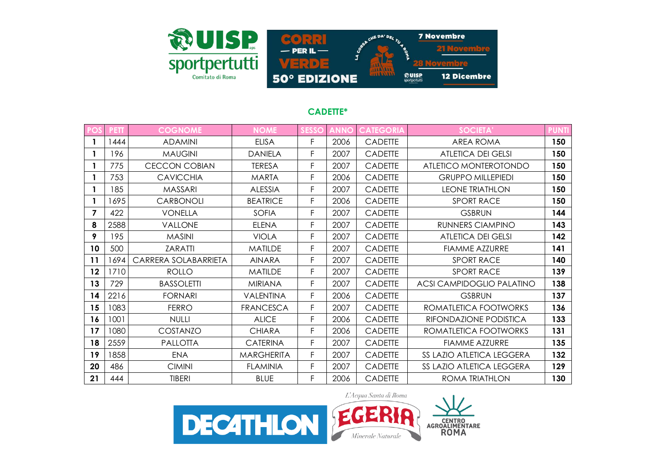

#### **CADETTE\***

| POS     | <b>PETT</b> | <b>COGNOME</b>       | <b>NOME</b>       | <b>SESSO</b> | <b>ANNO</b> | <b>CATEGORIA</b> | <b>SOCIETA'</b>           | <b>PUNTI</b> |
|---------|-------------|----------------------|-------------------|--------------|-------------|------------------|---------------------------|--------------|
|         | 1444        | <b>ADAMINI</b>       | <b>ELISA</b>      | F.           | 2006        | <b>CADETTE</b>   | <b>AREA ROMA</b>          | 150          |
|         | 196         | <b>MAUGINI</b>       | <b>DANIELA</b>    | F            | 2007        | <b>CADETTE</b>   | <b>ATLETICA DEI GELSI</b> | 150          |
|         | 775         | <b>CECCON COBIAN</b> | <b>TERESA</b>     | F            | 2007        | <b>CADETTE</b>   | ATLETICO MONTEROTONDO     | 150          |
|         | 753         | <b>CAVICCHIA</b>     | <b>MARTA</b>      | F            | 2006        | <b>CADETTE</b>   | <b>GRUPPO MILLEPIEDI</b>  | 150          |
|         | 185         | <b>MASSARI</b>       | <b>ALESSIA</b>    | F            | 2007        | CADETTE          | <b>LEONE TRIATHLON</b>    | 150          |
|         | 1695        | <b>CARBONOLI</b>     | <b>BEATRICE</b>   | F            | 2006        | <b>CADETTE</b>   | <b>SPORT RACE</b>         | 150          |
| 7       | 422         | <b>VONELLA</b>       | <b>SOFIA</b>      | F            | 2007        | CADETTE          | <b>GSBRUN</b>             | 144          |
| 8       | 2588        | <b>VALLONE</b>       | <b>ELENA</b>      | F            | 2007        | <b>CADETTE</b>   | RUNNERS CIAMPINO          | 143          |
| 9       | 195         | <b>MASINI</b>        | <b>VIOLA</b>      | F            | 2007        | <b>CADETTE</b>   | <b>ATLETICA DEI GELSI</b> | 142          |
| 10      | 500         | ZARATTI              | <b>MATILDE</b>    | F            | 2007        | <b>CADETTE</b>   | <b>FIAMME AZZURRE</b>     | 141          |
| 11      | 1694        | CARRERA SOLABARRIETA | <b>AINARA</b>     | F            | 2007        | <b>CADETTE</b>   | <b>SPORT RACE</b>         | 140          |
| $12 \,$ | 1710        | <b>ROLLO</b>         | <b>MATILDE</b>    | F            | 2007        | <b>CADETTE</b>   | <b>SPORT RACE</b>         | 139          |
| 13      | 729         | <b>BASSOLETTI</b>    | <b>MIRIANA</b>    | F            | 2007        | <b>CADETTE</b>   | ACSI CAMPIDOGLIO PALATINO | 138          |
| 14      | 2216        | <b>FORNARI</b>       | VALENTINA         | F.           | 2006        | <b>CADETTE</b>   | <b>GSBRUN</b>             | 137          |
| 15      | 1083        | <b>FERRO</b>         | <b>FRANCESCA</b>  | F            | 2007        | <b>CADETTE</b>   | ROMATLETICA FOOTWORKS     | 136          |
| 16      | 1001        | <b>NULLI</b>         | <b>ALICE</b>      | F            | 2006        | CADETTE          | RIFONDAZIONE PODISTICA    | 133          |
| 17      | 1080        | COSTANZO             | <b>CHIARA</b>     | F.           | 2006        | <b>CADETTE</b>   | ROMATLETICA FOOTWORKS     | 131          |
| 18      | 2559        | PALLOTTA             | <b>CATERINA</b>   | F            | 2007        | <b>CADETTE</b>   | <b>FIAMME AZZURRE</b>     | 135          |
| 19      | 1858        | <b>ENA</b>           | <b>MARGHERITA</b> | F            | 2007        | CADETTE          | SS LAZIO ATLETICA LEGGERA | 132          |
| 20      | 486         | <b>CIMINI</b>        | <b>FLAMINIA</b>   | F            | 2007        | <b>CADETTE</b>   | SS LAZIO ATLETICA LEGGERA | 129          |
| 21      | 444         | <b>TIBERI</b>        | <b>BLUE</b>       | F            | 2006        | <b>CADETTE</b>   | ROMA TRIATHLON            | 130          |